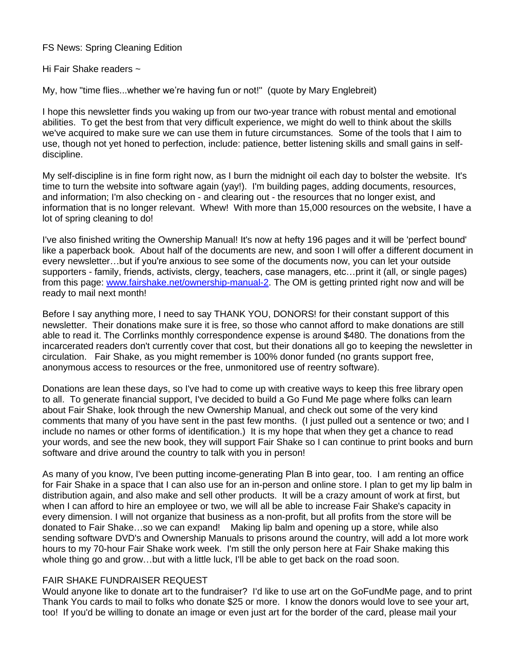FS News: Spring Cleaning Edition

Hi Fair Shake readers ~

My, how "time flies...whether we're having fun or not!" (quote by Mary Englebreit)

I hope this newsletter finds you waking up from our two-year trance with robust mental and emotional abilities. To get the best from that very difficult experience, we might do well to think about the skills we've acquired to make sure we can use them in future circumstances. Some of the tools that I aim to use, though not yet honed to perfection, include: patience, better listening skills and small gains in selfdiscipline.

My self-discipline is in fine form right now, as I burn the midnight oil each day to bolster the website. It's time to turn the website into software again (yay!). I'm building pages, adding documents, resources, and information; I'm also checking on - and clearing out - the resources that no longer exist, and information that is no longer relevant. Whew! With more than 15,000 resources on the website, I have a lot of spring cleaning to do!

I've also finished writing the Ownership Manual! It's now at hefty 196 pages and it will be 'perfect bound' like a paperback book. About half of the documents are new, and soon I will offer a different document in every newsletter…but if you're anxious to see some of the documents now, you can let your outside supporters - family, friends, activists, clergy, teachers, case managers, etc…print it (all, or single pages) from this page: [www.fairshake.net/ownership-manual-2.](http://www.fairshake.net/ownership-manual-2) The OM is getting printed right now and will be ready to mail next month!

Before I say anything more, I need to say THANK YOU, DONORS! for their constant support of this newsletter. Their donations make sure it is free, so those who cannot afford to make donations are still able to read it. The Corrlinks monthly correspondence expense is around \$480. The donations from the incarcerated readers don't currently cover that cost, but their donations all go to keeping the newsletter in circulation. Fair Shake, as you might remember is 100% donor funded (no grants support free, anonymous access to resources or the free, unmonitored use of reentry software).

Donations are lean these days, so I've had to come up with creative ways to keep this free library open to all. To generate financial support, I've decided to build a Go Fund Me page where folks can learn about Fair Shake, look through the new Ownership Manual, and check out some of the very kind comments that many of you have sent in the past few months. (I just pulled out a sentence or two; and I include no names or other forms of identification.) It is my hope that when they get a chance to read your words, and see the new book, they will support Fair Shake so I can continue to print books and burn software and drive around the country to talk with you in person!

As many of you know, I've been putting income-generating Plan B into gear, too. I am renting an office for Fair Shake in a space that I can also use for an in-person and online store. I plan to get my lip balm in distribution again, and also make and sell other products. It will be a crazy amount of work at first, but when I can afford to hire an employee or two, we will all be able to increase Fair Shake's capacity in every dimension. I will not organize that business as a non-profit, but all profits from the store will be donated to Fair Shake…so we can expand! Making lip balm and opening up a store, while also sending software DVD's and Ownership Manuals to prisons around the country, will add a lot more work hours to my 70-hour Fair Shake work week. I'm still the only person here at Fair Shake making this whole thing go and grow...but with a little luck, I'll be able to get back on the road soon.

## FAIR SHAKE FUNDRAISER REQUEST

Would anyone like to donate art to the fundraiser? I'd like to use art on the GoFundMe page, and to print Thank You cards to mail to folks who donate \$25 or more. I know the donors would love to see your art, too! If you'd be willing to donate an image or even just art for the border of the card, please mail your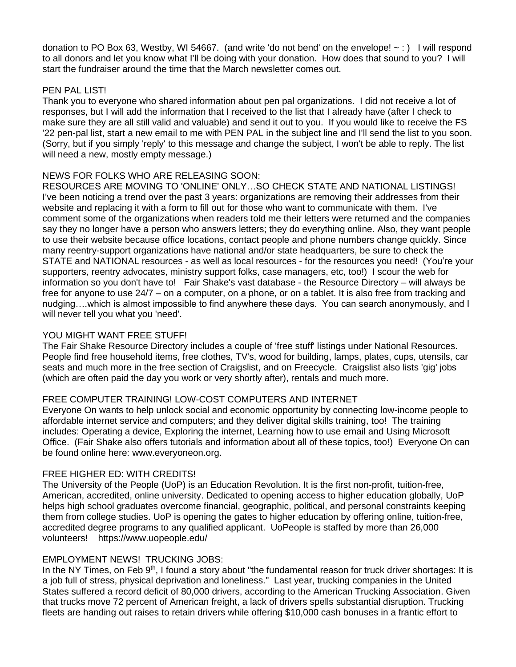donation to PO Box 63, Westby, WI 54667. (and write 'do not bend' on the envelope!  $\sim$  : ) I will respond to all donors and let you know what I'll be doing with your donation. How does that sound to you? I will start the fundraiser around the time that the March newsletter comes out.

#### PEN PAL LIST!

Thank you to everyone who shared information about pen pal organizations. I did not receive a lot of responses, but I will add the information that I received to the list that I already have (after I check to make sure they are all still valid and valuable) and send it out to you. If you would like to receive the FS '22 pen-pal list, start a new email to me with PEN PAL in the subject line and I'll send the list to you soon. (Sorry, but if you simply 'reply' to this message and change the subject, I won't be able to reply. The list will need a new, mostly empty message.)

## NEWS FOR FOLKS WHO ARE RELEASING SOON:

RESOURCES ARE MOVING TO 'ONLINE' ONLY…SO CHECK STATE AND NATIONAL LISTINGS! I've been noticing a trend over the past 3 years: organizations are removing their addresses from their website and replacing it with a form to fill out for those who want to communicate with them. I've comment some of the organizations when readers told me their letters were returned and the companies say they no longer have a person who answers letters; they do everything online. Also, they want people to use their website because office locations, contact people and phone numbers change quickly. Since many reentry-support organizations have national and/or state headquarters, be sure to check the STATE and NATIONAL resources - as well as local resources - for the resources you need! (You're your supporters, reentry advocates, ministry support folks, case managers, etc, too!) I scour the web for information so you don't have to! Fair Shake's vast database - the Resource Directory – will always be free for anyone to use 24/7 – on a computer, on a phone, or on a tablet. It is also free from tracking and nudging….which is almost impossible to find anywhere these days. You can search anonymously, and I will never tell you what you 'need'.

## YOU MIGHT WANT FREE STUFF!

The Fair Shake Resource Directory includes a couple of 'free stuff' listings under National Resources. People find free household items, free clothes, TV's, wood for building, lamps, plates, cups, utensils, car seats and much more in the free section of Craigslist, and on Freecycle. Craigslist also lists 'gig' jobs (which are often paid the day you work or very shortly after), rentals and much more.

# FREE COMPUTER TRAINING! LOW-COST COMPUTERS AND INTERNET

Everyone On wants to help unlock social and economic opportunity by connecting low-income people to affordable internet service and computers; and they deliver digital skills training, too! The training includes: Operating a device, Exploring the internet, Learning how to use email and Using Microsoft Office. (Fair Shake also offers tutorials and information about all of these topics, too!) Everyone On can be found online here: www.everyoneon.org.

## FREE HIGHER ED: WITH CREDITS!

The University of the People (UoP) is an Education Revolution. It is the first non-profit, tuition-free, American, accredited, online university. Dedicated to opening access to higher education globally, UoP helps high school graduates overcome financial, geographic, political, and personal constraints keeping them from college studies. UoP is opening the gates to higher education by offering online, tuition-free, accredited degree programs to any qualified applicant. UoPeople is staffed by more than 26,000 volunteers! https://www.uopeople.edu/

## EMPLOYMENT NEWS! TRUCKING JOBS:

In the NY Times, on Feb 9<sup>th</sup>, I found a story about "the fundamental reason for truck driver shortages: It is a job full of stress, physical deprivation and loneliness." Last year, trucking companies in the United States suffered a record deficit of 80,000 drivers, according to the American Trucking Association. Given that trucks move 72 percent of American freight, a lack of drivers spells substantial disruption. Trucking fleets are handing out raises to retain drivers while offering \$10,000 cash bonuses in a frantic effort to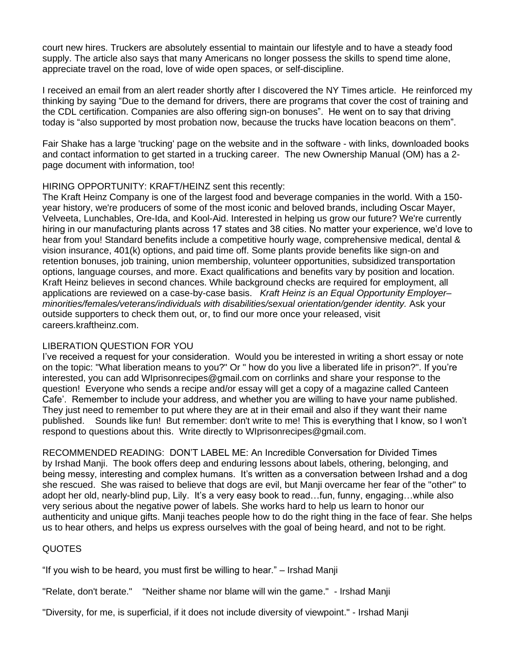court new hires. Truckers are absolutely essential to maintain our lifestyle and to have a steady food supply. The article also says that many Americans no longer possess the skills to spend time alone, appreciate travel on the road, love of wide open spaces, or self-discipline.

I received an email from an alert reader shortly after I discovered the NY Times article. He reinforced my thinking by saying "Due to the demand for drivers, there are programs that cover the cost of training and the CDL certification. Companies are also offering sign-on bonuses". He went on to say that driving today is "also supported by most probation now, because the trucks have location beacons on them".

Fair Shake has a large 'trucking' page on the website and in the software - with links, downloaded books and contact information to get started in a trucking career. The new Ownership Manual (OM) has a 2 page document with information, too!

## HIRING OPPORTUNITY: KRAFT/HEINZ sent this recently:

The Kraft Heinz Company is one of the largest food and beverage companies in the world. With a 150 year history, we're producers of some of the most iconic and beloved brands, including Oscar Mayer, Velveeta, Lunchables, Ore-Ida, and Kool-Aid. Interested in helping us grow our future? We're currently hiring in our manufacturing plants across 17 states and 38 cities. No matter your experience, we'd love to hear from you! Standard benefits include a competitive hourly wage, comprehensive medical, dental & vision insurance, 401(k) options, and paid time off. Some plants provide benefits like sign-on and retention bonuses, job training, union membership, volunteer opportunities, subsidized transportation options, language courses, and more. Exact qualifications and benefits vary by position and location. Kraft Heinz believes in second chances. While background checks are required for employment, all applications are reviewed on a case-by-case basis. *Kraft Heinz is an Equal Opportunity Employer– minorities/females/veterans/individuals with disabilities/sexual orientation/gender identity.* Ask your outside supporters to check them out, or, to find our more once your released, visit careers.kraftheinz.com.

## LIBERATION QUESTION FOR YOU

I've received a request for your consideration. Would you be interested in writing a short essay or note on the topic: "What liberation means to you?" Or " how do you live a liberated life in prison?". If you're interested, you can add WIprisonrecipes@gmail.com on corrlinks and share your response to the question! Everyone who sends a recipe and/or essay will get a copy of a magazine called Canteen Cafe'. Remember to include your address, and whether you are willing to have your name published. They just need to remember to put where they are at in their email and also if they want their name published. Sounds like fun! But remember: don't write to me! This is everything that I know, so I won't respond to questions about this. Write directly to WIprisonrecipes@gmail.com.

RECOMMENDED READING: DON'T LABEL ME: An Incredible Conversation for Divided Times by Irshad Manji. The book offers deep and enduring lessons about labels, othering, belonging, and being messy, interesting and complex humans. It's written as a conversation between Irshad and a dog she rescued. She was raised to believe that dogs are evil, but Manji overcame her fear of the "other" to adopt her old, nearly-blind pup, Lily. It's a very easy book to read…fun, funny, engaging…while also very serious about the negative power of labels. She works hard to help us learn to honor our authenticity and unique gifts. Manji teaches people how to do the right thing in the face of fear. She helps us to hear others, and helps us express ourselves with the goal of being heard, and not to be right.

#### QUOTES

"If you wish to be heard, you must first be willing to hear." – Irshad Manji

"Relate, don't berate." "Neither shame nor blame will win the game." - Irshad Manji

"Diversity, for me, is superficial, if it does not include diversity of viewpoint." - Irshad Manji